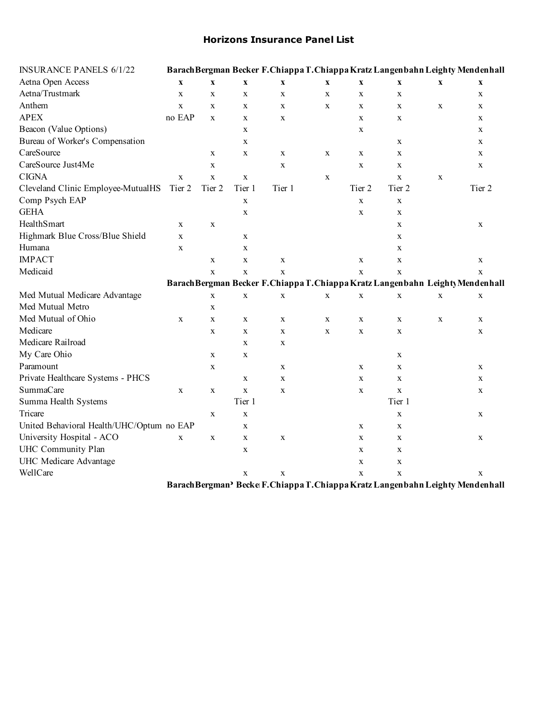## **Horizons Insurance Panel List**

| <b>INSURANCE PANELS 6/1/22</b>            |              |                           |                           |                           |             |             |             |             | Barach Bergman Becker F. Chiappa T. Chiappa Kratz Langenbahn Leighty Mendenhall |
|-------------------------------------------|--------------|---------------------------|---------------------------|---------------------------|-------------|-------------|-------------|-------------|---------------------------------------------------------------------------------|
| Aetna Open Access                         | $\mathbf X$  | $\boldsymbol{\mathrm{X}}$ | $\boldsymbol{\mathrm{X}}$ | $\boldsymbol{\mathrm{X}}$ | $\mathbf X$ | $\mathbf X$ | $\mathbf X$ | $\mathbf X$ | $\boldsymbol{\mathrm{X}}$                                                       |
| Aetna/Trustmark                           | $\mathbf X$  | $\mathbf X$               | $\mathbf X$               | $\mathbf X$               | $\mathbf X$ | $\mathbf X$ | $\mathbf X$ |             | $\mathbf X$                                                                     |
| Anthem                                    | X            | $\mathbf x$               | X                         | X                         | $\mathbf X$ | X           | $\mathbf X$ | X           | X                                                                               |
| <b>APEX</b>                               | no EAP       | $\mathbf X$               | X                         | $\mathbf X$               |             | $\mathbf X$ | $\mathbf X$ |             | X                                                                               |
| Beacon (Value Options)                    |              |                           | X                         |                           |             | $\mathbf X$ |             |             | X                                                                               |
| Bureau of Worker's Compensation           |              |                           | X                         |                           |             |             | X           |             | X                                                                               |
| CareSource                                |              | X                         | X                         | X                         | X           | X           | $\mathbf X$ |             | X                                                                               |
| CareSource Just4Me                        |              | $\mathbf X$               |                           | $\mathbf X$               |             | $\mathbf X$ | $\mathbf X$ |             | X                                                                               |
| <b>CIGNA</b>                              | $\mathbf{X}$ | $\mathbf x$               | $\mathbf X$               |                           | $\mathbf X$ |             | $\mathbf X$ | $\mathbf X$ |                                                                                 |
| Cleveland Clinic Employee-MutualHS        | Tier 2       | Tier 2                    | Tier 1                    | Tier 1                    |             | Tier 2      | Tier 2      |             | Tier 2                                                                          |
| Comp Psych EAP                            |              |                           | $\mathbf X$               |                           |             | $\mathbf X$ | $\mathbf X$ |             |                                                                                 |
| <b>GEHA</b>                               |              |                           | $\mathbf X$               |                           |             | $\mathbf X$ | $\mathbf X$ |             |                                                                                 |
| HealthSmart                               | X            | $\mathbf X$               |                           |                           |             |             | X           |             | X                                                                               |
| Highmark Blue Cross/Blue Shield           | X            |                           | X                         |                           |             |             | $\mathbf X$ |             |                                                                                 |
| Humana                                    | $\mathbf X$  |                           | X                         |                           |             |             | $\mathbf X$ |             |                                                                                 |
| <b>IMPACT</b>                             |              | $\mathbf X$               | X                         | $\mathbf X$               |             | $\mathbf X$ | $\mathbf X$ |             | X                                                                               |
| Medicaid                                  |              | $\mathbf X$               | $\mathbf X$               | $\mathbf X$               |             | $\mathbf X$ | $\mathbf X$ |             | $\mathbf X$                                                                     |
|                                           |              |                           |                           |                           |             |             |             |             | Barach Bergman Becker F. Chiappa T. Chiappa Kratz Langenbahn Leighty Mendenhall |
| Med Mutual Medicare Advantage             |              | $\mathbf X$               | $\mathbf X$               | $\mathbf X$               | $\mathbf X$ | $\mathbf X$ | $\mathbf X$ | $\mathbf X$ | $\mathbf X$                                                                     |
| Med Mutual Metro                          |              | $\mathbf X$               |                           |                           |             |             |             |             |                                                                                 |
| Med Mutual of Ohio                        | X            | $\mathbf X$               | X                         | $\mathbf X$               | $\mathbf X$ | $\mathbf X$ | X           | $\mathbf X$ | X                                                                               |
| Medicare                                  |              | $\mathbf X$               | X                         | $\mathbf X$               | $\mathbf X$ | $\mathbf X$ | $\mathbf X$ |             | X                                                                               |
| Medicare Railroad                         |              |                           | $\mathbf X$               | $\mathbf X$               |             |             |             |             |                                                                                 |
| My Care Ohio                              |              | $\mathbf X$               | X                         |                           |             |             | $\mathbf X$ |             |                                                                                 |
| Paramount                                 |              | $\mathbf X$               |                           | X                         |             | X           | $\mathbf X$ |             | X                                                                               |
| Private Healthcare Systems - PHCS         |              |                           | $\mathbf X$               | $\mathbf X$               |             | $\mathbf X$ | $\mathbf X$ |             | $\mathbf X$                                                                     |
| SummaCare                                 | $\mathbf X$  | $\mathbf X$               | $\mathbf{X}$              | X                         |             | $\mathbf X$ | $\mathbf X$ |             | X                                                                               |
| Summa Health Systems                      |              |                           | Tier 1                    |                           |             |             | Tier 1      |             |                                                                                 |
| Tricare                                   |              | $\mathbf X$               | $\mathbf X$               |                           |             |             | $\mathbf X$ |             | X                                                                               |
| United Behavioral Health/UHC/Optum no EAP |              |                           | $\mathbf X$               |                           |             | $\mathbf X$ | $\mathbf X$ |             |                                                                                 |
| University Hospital - ACO                 | $\mathbf X$  | X                         | X                         | X                         |             | $\mathbf X$ | X           |             | X                                                                               |
| UHC Community Plan                        |              |                           | X                         |                           |             | $\mathbf X$ | X           |             |                                                                                 |
| UHC Medicare Advantage                    |              |                           |                           |                           |             | $\mathbf X$ | $\mathbf X$ |             |                                                                                 |
| WellCare                                  |              |                           | $\mathbf X$               | $\mathbf X$               |             | $\mathbf X$ | $\mathbf X$ |             | $\mathbf X$                                                                     |
|                                           |              |                           |                           |                           |             |             |             |             | Barach Bergman? Becke F. Chiappa T. Chiappa Kratz Langenbahn Leighty Mendenhall |